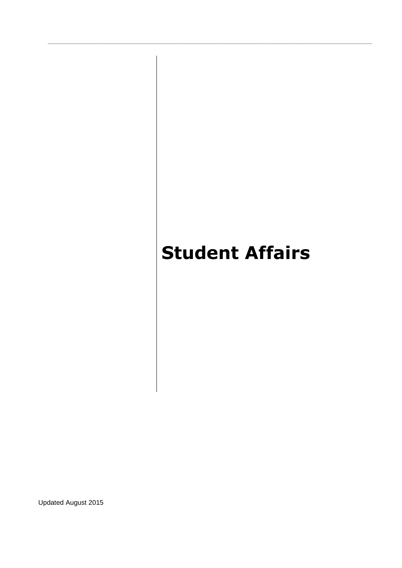# **Student Affairs**

Updated August 2015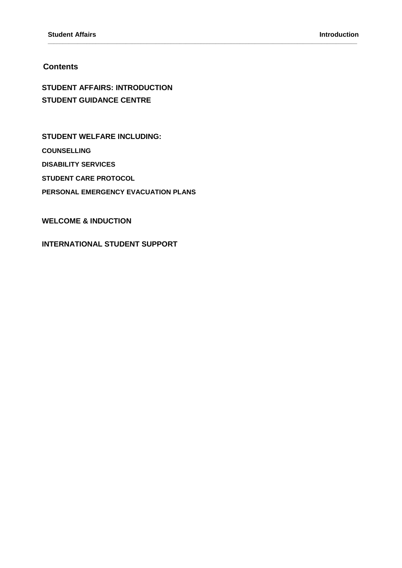### **Contents**

**STUDENT AFFAIRS: INTRODUCTION STUDENT GUIDANCE CENTRE**

**\_\_\_\_\_\_\_\_\_\_\_\_\_\_\_\_\_\_\_\_\_\_\_\_\_\_\_\_\_\_\_\_\_\_\_\_\_\_\_\_\_\_\_\_\_\_\_\_\_\_\_\_\_\_\_\_\_\_\_\_\_\_\_\_\_\_\_\_\_\_\_\_\_\_\_\_\_\_\_\_\_\_\_\_\_\_\_\_\_\_\_\_\_\_\_\_\_\_\_\_\_\_\_**

**STUDENT WELFARE INCLUDING:**

**COUNSELLING** 

**DISABILITY SERVICES**

**STUDENT CARE PROTOCOL**

**PERSONAL EMERGENCY EVACUATION PLANS**

**WELCOME & INDUCTION**

**INTERNATIONAL STUDENT SUPPORT**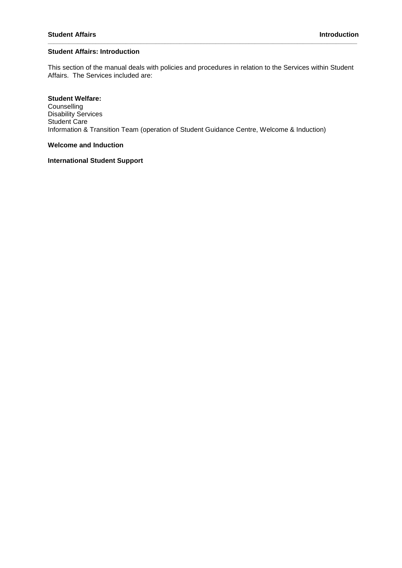#### **Student Affairs Introduction**

#### **Student Affairs: Introduction**

This section of the manual deals with policies and procedures in relation to the Services within Student Affairs. The Services included are:

**\_\_\_\_\_\_\_\_\_\_\_\_\_\_\_\_\_\_\_\_\_\_\_\_\_\_\_\_\_\_\_\_\_\_\_\_\_\_\_\_\_\_\_\_\_\_\_\_\_\_\_\_\_\_\_\_\_\_\_\_\_\_\_\_\_\_\_\_\_\_\_\_\_\_\_\_\_\_\_\_\_\_\_\_\_\_\_\_\_\_\_\_\_\_\_\_\_\_\_\_\_\_\_**

#### **Student Welfare:**

Counselling Disability Services Student Care Information & Transition Team (operation of Student Guidance Centre, Welcome & Induction)

**Welcome and Induction**

**International Student Support**